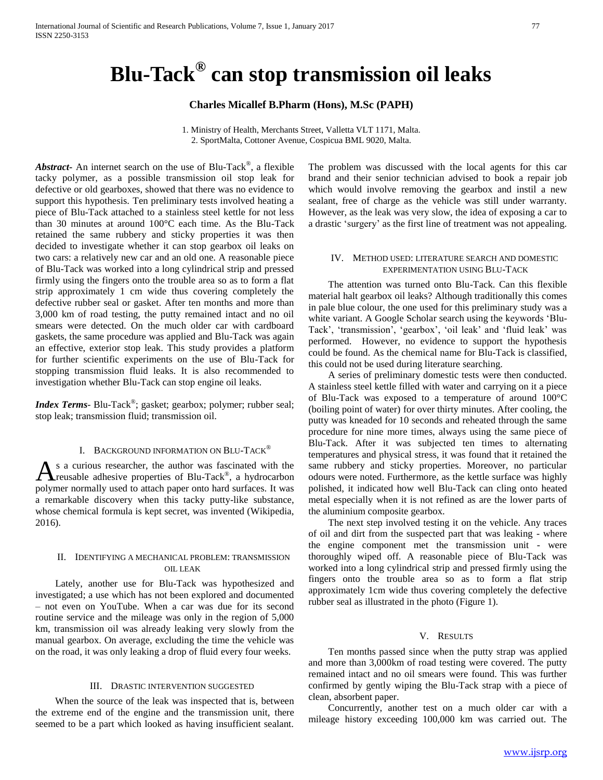# **Blu-Tack® can stop transmission oil leaks**

# **Charles Micallef B.Pharm (Hons), M.Sc (PAPH)**

1. Ministry of Health, Merchants Street, Valletta VLT 1171, Malta. 2. SportMalta, Cottoner Avenue, Cospicua BML 9020, Malta.

*Abstract***-** An internet search on the use of Blu-Tack® , a flexible tacky polymer, as a possible transmission oil stop leak for defective or old gearboxes, showed that there was no evidence to support this hypothesis. Ten preliminary tests involved heating a piece of Blu-Tack attached to a stainless steel kettle for not less than 30 minutes at around 100°C each time. As the Blu-Tack retained the same rubbery and sticky properties it was then decided to investigate whether it can stop gearbox oil leaks on two cars: a relatively new car and an old one. A reasonable piece of Blu-Tack was worked into a long cylindrical strip and pressed firmly using the fingers onto the trouble area so as to form a flat strip approximately 1 cm wide thus covering completely the defective rubber seal or gasket. After ten months and more than 3,000 km of road testing, the putty remained intact and no oil smears were detected. On the much older car with cardboard gaskets, the same procedure was applied and Blu-Tack was again an effective, exterior stop leak. This study provides a platform for further scientific experiments on the use of Blu-Tack for stopping transmission fluid leaks. It is also recommended to investigation whether Blu-Tack can stop engine oil leaks.

*Index Terms*- Blu-Tack® ; gasket; gearbox; polymer; rubber seal; stop leak; transmission fluid; transmission oil.

# I. BACKGROUND INFORMATION ON BLU-TACK®

s a curious researcher, the author was fascinated with the  $A_s$  a curious researcher, the author was fascinated with the reusable adhesive properties of Blu-Tack<sup>®</sup>, a hydrocarbon polymer normally used to attach paper onto hard surfaces. It was a remarkable discovery when this tacky putty-like substance, whose chemical formula is kept secret, was invented (Wikipedia, 2016).

# II. IDENTIFYING A MECHANICAL PROBLEM: TRANSMISSION OIL LEAK

 Lately, another use for Blu-Tack was hypothesized and investigated; a use which has not been explored and documented – not even on YouTube. When a car was due for its second routine service and the mileage was only in the region of 5,000 km, transmission oil was already leaking very slowly from the manual gearbox. On average, excluding the time the vehicle was on the road, it was only leaking a drop of fluid every four weeks.

## III. DRASTIC INTERVENTION SUGGESTED

 When the source of the leak was inspected that is, between the extreme end of the engine and the transmission unit, there seemed to be a part which looked as having insufficient sealant. The problem was discussed with the local agents for this car brand and their senior technician advised to book a repair job which would involve removing the gearbox and instil a new sealant, free of charge as the vehicle was still under warranty. However, as the leak was very slow, the idea of exposing a car to a drastic 'surgery' as the first line of treatment was not appealing.

## IV. METHOD USED: LITERATURE SEARCH AND DOMESTIC EXPERIMENTATION USING BLU-TACK

 The attention was turned onto Blu-Tack. Can this flexible material halt gearbox oil leaks? Although traditionally this comes in pale blue colour, the one used for this preliminary study was a white variant. A Google Scholar search using the keywords 'Blu-Tack', 'transmission', 'gearbox', 'oil leak' and 'fluid leak' was performed. However, no evidence to support the hypothesis could be found. As the chemical name for Blu-Tack is classified, this could not be used during literature searching.

 A series of preliminary domestic tests were then conducted. A stainless steel kettle filled with water and carrying on it a piece of Blu-Tack was exposed to a temperature of around 100°C (boiling point of water) for over thirty minutes. After cooling, the putty was kneaded for 10 seconds and reheated through the same procedure for nine more times, always using the same piece of Blu-Tack. After it was subjected ten times to alternating temperatures and physical stress, it was found that it retained the same rubbery and sticky properties. Moreover, no particular odours were noted. Furthermore, as the kettle surface was highly polished, it indicated how well Blu-Tack can cling onto heated metal especially when it is not refined as are the lower parts of the aluminium composite gearbox.

 The next step involved testing it on the vehicle. Any traces of oil and dirt from the suspected part that was leaking - where the engine component met the transmission unit - were thoroughly wiped off. A reasonable piece of Blu-Tack was worked into a long cylindrical strip and pressed firmly using the fingers onto the trouble area so as to form a flat strip approximately 1cm wide thus covering completely the defective rubber seal as illustrated in the photo (Figure 1).

## V. RESULTS

 Ten months passed since when the putty strap was applied and more than 3,000km of road testing were covered. The putty remained intact and no oil smears were found. This was further confirmed by gently wiping the Blu-Tack strap with a piece of clean, absorbent paper.

 Concurrently, another test on a much older car with a mileage history exceeding 100,000 km was carried out. The